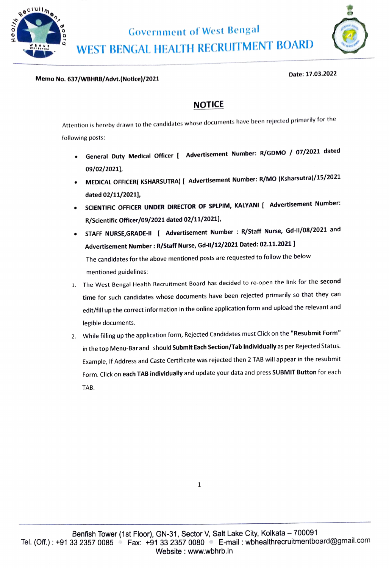



## Memo No. 637/WBHRB/Advt.(Notice)/2021

## Date: 17.03.2022

## NOTICE

Attention is hereby drawn to the candidates whose documents have been rejected primarily for the following posts:

- General Duty Medical Officer [ Advertisement Number: R/GDMO / 07/2021 dated  $\bullet$ 09/02/2021
- MEDICAL OFFICER( KSHARSUTRA) I Advertisement Number: R/MO (Ksharsutra)/15/2021 dated 02/11/2021],
- SCIENTIFIC OFFICER UNDER DIRECTOR OF SPLPIM, KALYANI [ Advertisement Number: R/Scientific Officer/09/2021 dated 02/11/2021],
- STAFF NURSE, GRADE-II [ Advertisement Number : R/Staff Nurse, Gd-II/08/2021 and Advertisement Number: R/Staff Nurse, Gd-1/12/2021 Dated: 02.11.2021] The candidates for the above mentioned posts are requested to follow the below mentioned guidelines:
- 1. The West Bengal Health Recruitment Board has decided to re-open the link for the second time for such candidates whose documents have been rejected primarily so that they can edit/fill up the correct information in the online application form and upload the relevant and legible documents.
- 2. While filling up the application form, Rejected Candidates must Click on the "Resubmit Form" in the top Menu-Bar and should Submit Each Section/Tab Individually as per Rejected Status. Example, If Address and Caste Certificate was rejected then 2 TAB will appear in the resubmit Form. Click on each TAB individually and update your data and press SUBMIT Button for each TAB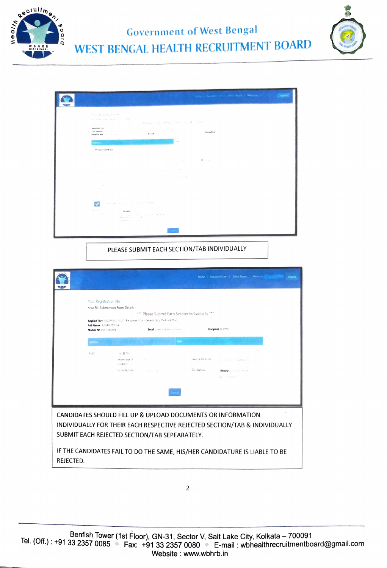

**Government of West Bengal** WEST BENGAL HEALTH RECRUITMENT BOARD



| This I haven't be I from high I Messen                                                                                                                                                                                                                                                                                                                              |
|---------------------------------------------------------------------------------------------------------------------------------------------------------------------------------------------------------------------------------------------------------------------------------------------------------------------------------------------------------------------|
| though Mangasifications for a<br>Way Re California Complete a<br>Player Automotive and the analysis and the financial<br>Applied for the Control of the Control of the Control of the Control of the Control of<br>Full Name of Contract Co.<br>OlacleRne<br>Foundation of the Council<br>Mobile No. 1011 or 2011<br>$\mathcal{C}^{\alpha}(\mathcal{H})^{\alpha-1}$ |
| <b>Processin Adolesce</b><br><b>Contractor</b><br>The Common Mills of<br>and the con-<br>Warrant Commission and Commission and Commission                                                                                                                                                                                                                           |
| All and support<br>and the company of the company of the company<br>President PROD. The Contract of Security Con-<br>The contract<br>the second state<br>Service Bank                                                                                                                                                                                               |
| the company of the company of the<br>The receivers (ET) was provided at Francesco Bulletina's<br>Action is a state<br>Recordiation of the Committee<br>Control Company<br>all was contributed and provided in the state<br>Management State Links 1978                                                                                                              |
| Autobiotech Anti-All Electric Autobiotech                                                                                                                                                                                                                                                                                                                           |

PLEASE SUBMIT EACH SECTION/TAB INDIVIDUALLY

|                                                                                                                                                                                                                                                                                       |                                                                         |                                                                  |                                                                                                                                                                  |             |                                   | Home   Resubmit Form   Status Report   Welcom                         | Logout |  |  |
|---------------------------------------------------------------------------------------------------------------------------------------------------------------------------------------------------------------------------------------------------------------------------------------|-------------------------------------------------------------------------|------------------------------------------------------------------|------------------------------------------------------------------------------------------------------------------------------------------------------------------|-------------|-----------------------------------|-----------------------------------------------------------------------|--------|--|--|
|                                                                                                                                                                                                                                                                                       | Your Registration No<br>Full Name: AZHAR MOLLA<br>Mobile No: 9810260404 | Your Re-Submission Form Details -                                | *** Please Submit Each Section Individually ***<br>Applied For: R/GDMO/07/2021   Recrutment For - General Duty Medical Officer<br>Email: amit dalbatrossoft com- |             |                                   | Discipline: GDMO                                                      |        |  |  |
|                                                                                                                                                                                                                                                                                       | <b>FWD</b>                                                              | Yes @ No<br>Percentage of<br><b>Cisability</b><br>Issued by Date | $\sim$ 100 $\mu$<br>STORY LINE                                                                                                                                   | <b>Patt</b> | Issuing Authority.<br>Duc Upload. | <b>STRUCK CT SERVITALI</b><br>Browse. No for inner<br>PWU (1 currient |        |  |  |
| CANDIDATES SHOULD FILL UP & UPLOAD DOCUMENTS OR INFORMATION<br>INDIVIDUALLY FOR THEIR EACH RESPECTIVE REJECTED SECTION/TAB & INDIVIDUALLY<br>SUBMIT EACH REJECTED SECTION/TAB SEPEARATELY.<br>IF THE CANDIDATES FAIL TO DO THE SAME, HIS/HER CANDIDATURE IS LIABLE TO BE<br>REJECTED. |                                                                         |                                                                  |                                                                                                                                                                  |             |                                   |                                                                       |        |  |  |

 $\overline{2}$